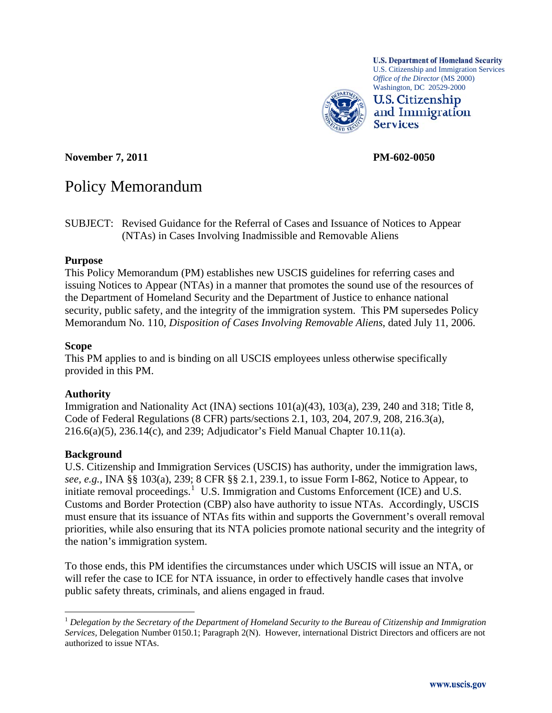

**November 7, 2011 PM-602-0050** 

# Policy Memorandum

SUBJECT: Revised Guidance for the Referral of Cases and Issuance of Notices to Appear (NTAs) in Cases Involving Inadmissible and Removable Aliens

# **Purpose**

This Policy Memorandum (PM) establishes new USCIS guidelines for referring cases and issuing Notices to Appear (NTAs) in a manner that promotes the sound use of the resources of the Department of Homeland Security and the Department of Justice to enhance national security, public safety, and the integrity of the immigration system. This PM supersedes Policy Memorandum No. 110, *Disposition of Cases Involving Removable Aliens*, dated July 11, 2006.

## **Scope**

This PM applies to and is binding on all USCIS employees unless otherwise specifically provided in this PM.

## **Authority**

Immigration and Nationality Act (INA) sections  $101(a)(43)$ ,  $103(a)$ ,  $239$ ,  $240$  and  $318$ ; Title 8, Code of Federal Regulations (8 CFR) parts/sections 2.1, 103, 204, 207.9, 208, 216.3(a), 216.6(a)(5), 236.14(c), and 239; Adjudicator's Field Manual Chapter 10.11(a).

## **Background**

U.S. Citizenship and Immigration Services (USCIS) has authority, under the immigration laws, *see, e.g.,* INA §§ 103(a), 239; 8 CFR §§ 2.1, 239.1, to issue Form I-862, Notice to Appear, to initiate removal proceedings.<sup>[1](#page-0-0)</sup> U.S. Immigration and Customs Enforcement (ICE) and U.S. Customs and Border Protection (CBP) also have authority to issue NTAs. Accordingly, USCIS must ensure that its issuance of NTAs fits within and supports the Government's overall removal priorities, while also ensuring that its NTA policies promote national security and the integrity of the nation's immigration system.

To those ends, this PM identifies the circumstances under which USCIS will issue an NTA, or will refer the case to ICE for NTA issuance, in order to effectively handle cases that involve public safety threats, criminals, and aliens engaged in fraud.

<span id="page-0-0"></span><sup>1</sup> <sup>1</sup> *Delegation by the Secretary of the Department of Homeland Security to the Bureau of Citizenship and Immigration Services,* Delegation Number 0150.1; Paragraph 2(N). However, international District Directors and officers are not authorized to issue NTAs.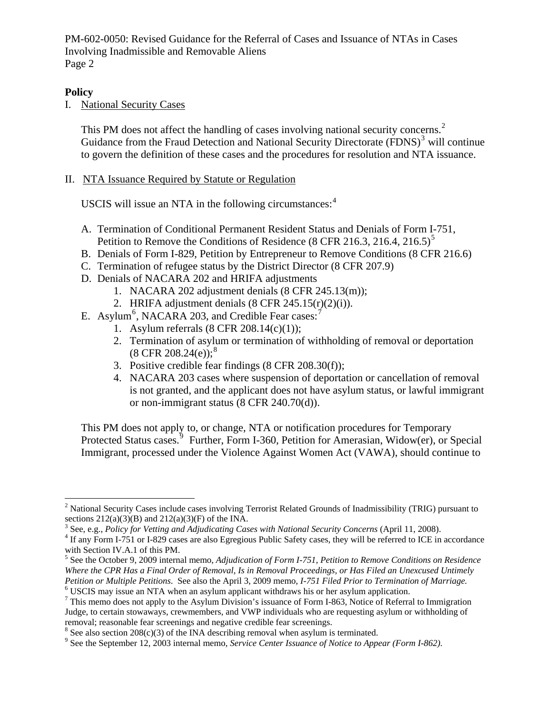# **Policy**

 $\overline{a}$ 

I. National Security Cases

This PM does not affect the handling of cases involving national security concerns.<sup>[2](#page-1-0)</sup> Guidance from the Fraud Detection and National Security Directorate (FDNS)<sup>[3](#page-1-1)</sup> will continue to govern the definition of these cases and the procedures for resolution and NTA issuance.

II. NTA Issuance Required by Statute or Regulation

USCIS will issue an NTA in the following circumstances: $4$ 

- A. Termination of Conditional Permanent Resident Status and Denials of Form I-751, Petition to Remove the Conditions of Residence  $(8 \text{ CFR } 216.3, 216.4, 216.5)^5$  $(8 \text{ CFR } 216.3, 216.4, 216.5)^5$  $(8 \text{ CFR } 216.3, 216.4, 216.5)^5$
- B. Denials of Form I-829, Petition by Entrepreneur to Remove Conditions (8 CFR 216.6)
- C. Termination of refugee status by the District Director (8 CFR 207.9)
- D. Denials of NACARA 202 and HRIFA adjustments
	- 1. NACARA 202 adjustment denials (8 CFR 245.13(m));
	- 2. HRIFA adjustment denials  $(8 \text{ CFR } 245.15 \text{ (r)}(2)(i))$ .
- E. Asylum<sup>[6](#page-1-4)</sup>, NACARA 203, and Credible Fear cases: $\frac{7}{1}$  $\frac{7}{1}$  $\frac{7}{1}$ 
	- 1. Asylum referrals (8 CFR 208.14(c)(1));
	- 2. Termination of asylum or termination of withholding of removal or deportation  $(8 \text{ CFR } 208.24(e))$  $(8 \text{ CFR } 208.24(e))$  $(8 \text{ CFR } 208.24(e))$ ;<sup>8</sup>
	- 3. Positive credible fear findings (8 CFR 208.30(f));
	- 4. NACARA 203 cases where suspension of deportation or cancellation of removal is not granted, and the applicant does not have asylum status, or lawful immigrant or non-immigrant status (8 CFR 240.70(d)).

This PM does not apply to, or change, NTA or notification procedures for Temporary Protected Status cases.<sup>[9](#page-1-7)</sup> Further, Form I-360, Petition for Amerasian, Widow(er), or Special Immigrant, processed under the Violence Against Women Act (VAWA), should continue to

<span id="page-1-0"></span><sup>&</sup>lt;sup>2</sup> National Security Cases include cases involving Terrorist Related Grounds of Inadmissibility (TRIG) pursuant to sections  $212(a)(3)(B)$  and  $212(a)(3)(F)$  of the INA.

<sup>&</sup>lt;sup>3</sup> See, e.g., *Policy for Vetting and Adjudicating Cases with National Security Concerns* (April 11, 2008).  $^{4}$  H any Equal CF in  $^{4}$  H any Equal CF in  $^{4}$ 

<span id="page-1-2"></span><span id="page-1-1"></span><sup>&</sup>lt;sup>4</sup> If any Form I-751 or I-829 cases are also Egregious Public Safety cases, they will be referred to ICE in accordance with Section IV.A.1 of this PM.

<span id="page-1-3"></span><sup>5</sup> See the October 9, 2009 internal memo, *Adjudication of Form I-751, Petition to Remove Conditions on Residence Where the CPR Has a Final Order of Removal, Is in Removal Proceedings, or Has Filed an Unexcused Untimely Petition or Multiple Petitions*. See also the April 3, 2009 memo, *I-751 Filed Prior to Termination of Marriage.* <sup>6</sup> USCIS may issue an NTA when an asylum applicant withdraws his or her asylum application.

<span id="page-1-5"></span><span id="page-1-4"></span> $<sup>7</sup>$  This memo does not apply to the Asylum Division's issuance of Form I-863, Notice of Referral to Immigration</sup> Judge, to certain stowaways, crewmembers, and VWP individuals who are requesting asylum or withholding of removal; reasonable fear screenings and negative credible fear screenings.

<span id="page-1-6"></span><sup>&</sup>lt;sup>8</sup> See also section 208(c)(3) of the INA describing removal when asylum is terminated.

<span id="page-1-7"></span><sup>&</sup>lt;sup>9</sup> See the September 12, 2003 internal memo, *Service Center Issuance of Notice to Appear (Form I-862)*.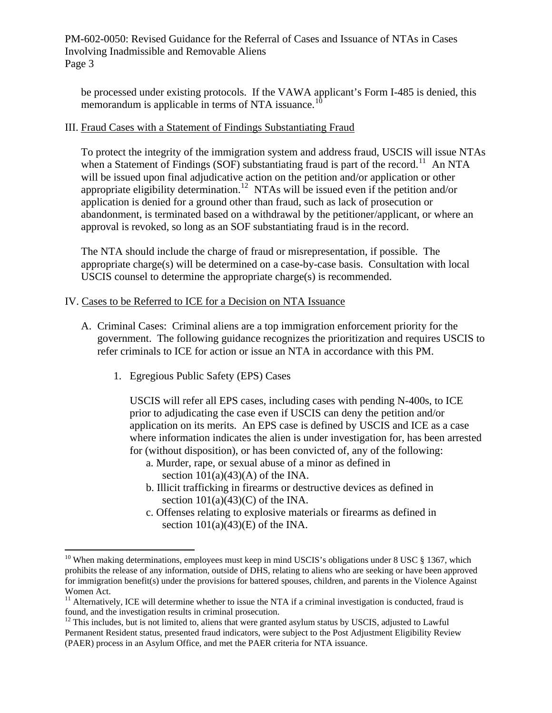be processed under existing protocols. If the VAWA applicant's Form I-485 is denied, this memorandum is applicable in terms of NTA issuance.<sup>[10](#page-2-0)</sup>

## III. Fraud Cases with a Statement of Findings Substantiating Fraud

To protect the integrity of the immigration system and address fraud, USCIS will issue NTAs when a Statement of Findings (SOF) substantiating fraud is part of the record.<sup>[11](#page-2-1)</sup> An NTA will be issued upon final adjudicative action on the petition and/or application or other appropriate eligibility determination.<sup>[12](#page-2-2)</sup> NTAs will be issued even if the petition and/or application is denied for a ground other than fraud, such as lack of prosecution or abandonment, is terminated based on a withdrawal by the petitioner/applicant, or where an approval is revoked, so long as an SOF substantiating fraud is in the record.

The NTA should include the charge of fraud or misrepresentation, if possible. The appropriate charge(s) will be determined on a case-by-case basis. Consultation with local USCIS counsel to determine the appropriate charge(s) is recommended.

# IV. Cases to be Referred to ICE for a Decision on NTA Issuance

- A. Criminal Cases: Criminal aliens are a top immigration enforcement priority for the government. The following guidance recognizes the prioritization and requires USCIS to refer criminals to ICE for action or issue an NTA in accordance with this PM.
	- 1. Egregious Public Safety (EPS) Cases

1

USCIS will refer all EPS cases, including cases with pending N-400s, to ICE prior to adjudicating the case even if USCIS can deny the petition and/or application on its merits. An EPS case is defined by USCIS and ICE as a case where information indicates the alien is under investigation for, has been arrested for (without disposition), or has been convicted of, any of the following:

- a. Murder, rape, or sexual abuse of a minor as defined in section  $101(a)(43)(A)$  of the INA.
- b. Illicit trafficking in firearms or destructive devices as defined in section  $101(a)(43)(C)$  of the INA.
- c. Offenses relating to explosive materials or firearms as defined in section  $101(a)(43)(E)$  of the INA.

<span id="page-2-0"></span> $10$  When making determinations, employees must keep in mind USCIS's obligations under 8 USC § 1367, which prohibits the release of any information, outside of DHS, relating to aliens who are seeking or have been approved for immigration benefit(s) under the provisions for battered spouses, children, and parents in the Violence Against Women Act.

<span id="page-2-1"></span> $11$  Alternatively, ICE will determine whether to issue the NTA if a criminal investigation is conducted, fraud is found, and the investigation results in criminal prosecution.

<span id="page-2-2"></span> $12$  This includes, but is not limited to, aliens that were granted asylum status by USCIS, adjusted to Lawful Permanent Resident status, presented fraud indicators, were subject to the Post Adjustment Eligibility Review (PAER) process in an Asylum Office, and met the PAER criteria for NTA issuance.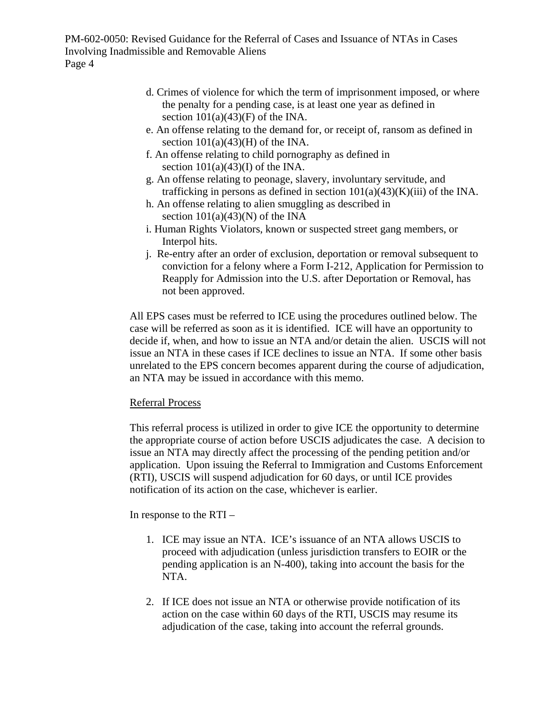- d. Crimes of violence for which the term of imprisonment imposed, or where the penalty for a pending case, is at least one year as defined in section  $101(a)(43)(F)$  of the INA.
- e. An offense relating to the demand for, or receipt of, ransom as defined in section  $101(a)(43)(H)$  of the INA.
- f. An offense relating to child pornography as defined in section  $101(a)(43)(I)$  of the INA.
- g. An offense relating to peonage, slavery, involuntary servitude, and trafficking in persons as defined in section  $101(a)(43)(K)(iii)$  of the INA.
- h. An offense relating to alien smuggling as described in section  $101(a)(43)(N)$  of the INA
- i. Human Rights Violators, known or suspected street gang members, or Interpol hits.
- j. Re-entry after an order of exclusion, deportation or removal subsequent to conviction for a felony where a Form I-212, Application for Permission to Reapply for Admission into the U.S. after Deportation or Removal, has not been approved.

All EPS cases must be referred to ICE using the procedures outlined below. The case will be referred as soon as it is identified. ICE will have an opportunity to decide if, when, and how to issue an NTA and/or detain the alien. USCIS will not issue an NTA in these cases if ICE declines to issue an NTA. If some other basis unrelated to the EPS concern becomes apparent during the course of adjudication, an NTA may be issued in accordance with this memo.

## Referral Process

This referral process is utilized in order to give ICE the opportunity to determine the appropriate course of action before USCIS adjudicates the case. A decision to issue an NTA may directly affect the processing of the pending petition and/or application. Upon issuing the Referral to Immigration and Customs Enforcement (RTI), USCIS will suspend adjudication for 60 days, or until ICE provides notification of its action on the case, whichever is earlier.

In response to the RTI –

- 1. ICE may issue an NTA. ICE's issuance of an NTA allows USCIS to proceed with adjudication (unless jurisdiction transfers to EOIR or the pending application is an N-400), taking into account the basis for the NTA.
- 2. If ICE does not issue an NTA or otherwise provide notification of its action on the case within 60 days of the RTI, USCIS may resume its adjudication of the case, taking into account the referral grounds.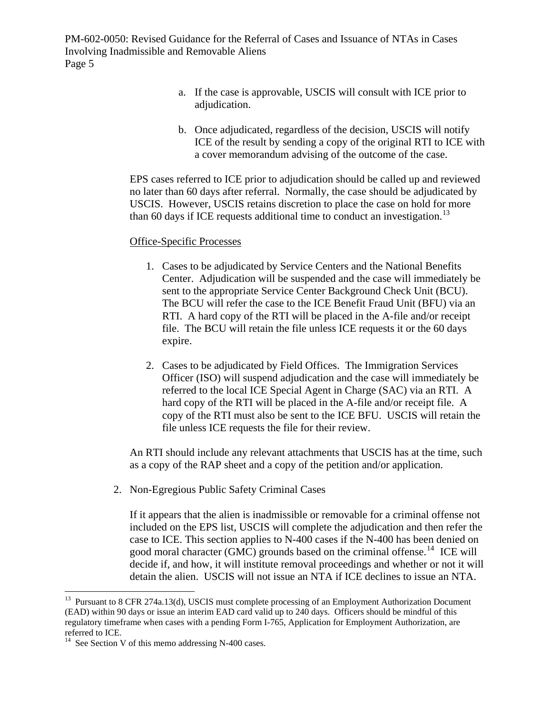- a. If the case is approvable, USCIS will consult with ICE prior to adjudication.
- b. Once adjudicated, regardless of the decision, USCIS will notify ICE of the result by sending a copy of the original RTI to ICE with a cover memorandum advising of the outcome of the case.

EPS cases referred to ICE prior to adjudication should be called up and reviewed no later than 60 days after referral. Normally, the case should be adjudicated by USCIS. However, USCIS retains discretion to place the case on hold for more than 60 days if ICE requests additional time to conduct an investigation.<sup>[13](#page-4-0)</sup>

#### Office-Specific Processes

- 1. Cases to be adjudicated by Service Centers and the National Benefits Center. Adjudication will be suspended and the case will immediately be sent to the appropriate Service Center Background Check Unit (BCU). The BCU will refer the case to the ICE Benefit Fraud Unit (BFU) via an RTI. A hard copy of the RTI will be placed in the A-file and/or receipt file. The BCU will retain the file unless ICE requests it or the 60 days expire.
- 2. Cases to be adjudicated by Field Offices. The Immigration Services Officer (ISO) will suspend adjudication and the case will immediately be referred to the local ICE Special Agent in Charge (SAC) via an RTI. A hard copy of the RTI will be placed in the A-file and/or receipt file. A copy of the RTI must also be sent to the ICE BFU. USCIS will retain the file unless ICE requests the file for their review.

An RTI should include any relevant attachments that USCIS has at the time, such as a copy of the RAP sheet and a copy of the petition and/or application.

2. Non-Egregious Public Safety Criminal Cases

If it appears that the alien is inadmissible or removable for a criminal offense not included on the EPS list, USCIS will complete the adjudication and then refer the case to ICE. This section applies to N-400 cases if the N-400 has been denied on good moral character (GMC) grounds based on the criminal offense.<sup>[14](#page-4-1)</sup> ICE will decide if, and how, it will institute removal proceedings and whether or not it will detain the alien. USCIS will not issue an NTA if ICE declines to issue an NTA.

1

<span id="page-4-0"></span><sup>&</sup>lt;sup>13</sup> Pursuant to 8 CFR 274a.13(d), USCIS must complete processing of an Employment Authorization Document (EAD) within 90 days or issue an interim EAD card valid up to 240 days. Officers should be mindful of this regulatory timeframe when cases with a pending Form I-765, Application for Employment Authorization, are

<span id="page-4-1"></span><sup>&</sup>lt;sup>14</sup> See Section V of this memo addressing N-400 cases.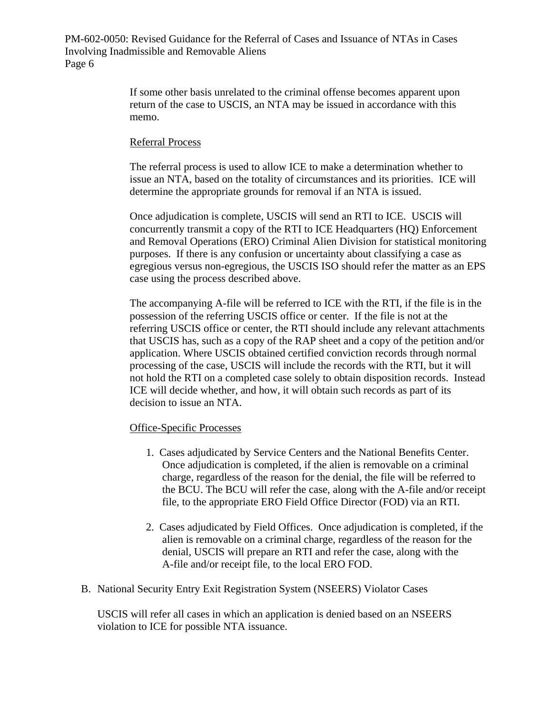> If some other basis unrelated to the criminal offense becomes apparent upon return of the case to USCIS, an NTA may be issued in accordance with this memo.

# Referral Process

The referral process is used to allow ICE to make a determination whether to issue an NTA, based on the totality of circumstances and its priorities. ICE will determine the appropriate grounds for removal if an NTA is issued.

Once adjudication is complete, USCIS will send an RTI to ICE. USCIS will concurrently transmit a copy of the RTI to ICE Headquarters (HQ) Enforcement and Removal Operations (ERO) Criminal Alien Division for statistical monitoring purposes. If there is any confusion or uncertainty about classifying a case as egregious versus non-egregious, the USCIS ISO should refer the matter as an EPS case using the process described above.

The accompanying A-file will be referred to ICE with the RTI, if the file is in the possession of the referring USCIS office or center. If the file is not at the referring USCIS office or center, the RTI should include any relevant attachments that USCIS has, such as a copy of the RAP sheet and a copy of the petition and/or application. Where USCIS obtained certified conviction records through normal processing of the case, USCIS will include the records with the RTI, but it will not hold the RTI on a completed case solely to obtain disposition records. Instead ICE will decide whether, and how, it will obtain such records as part of its decision to issue an NTA.

# Office-Specific Processes

- 1. Cases adjudicated by Service Centers and the National Benefits Center. Once adjudication is completed, if the alien is removable on a criminal charge, regardless of the reason for the denial, the file will be referred to the BCU. The BCU will refer the case, along with the A-file and/or receipt file, to the appropriate ERO Field Office Director (FOD) via an RTI.
- 2. Cases adjudicated by Field Offices. Once adjudication is completed, if the alien is removable on a criminal charge, regardless of the reason for the denial, USCIS will prepare an RTI and refer the case, along with the A-file and/or receipt file, to the local ERO FOD.
- B. National Security Entry Exit Registration System (NSEERS) Violator Cases

USCIS will refer all cases in which an application is denied based on an NSEERS violation to ICE for possible NTA issuance.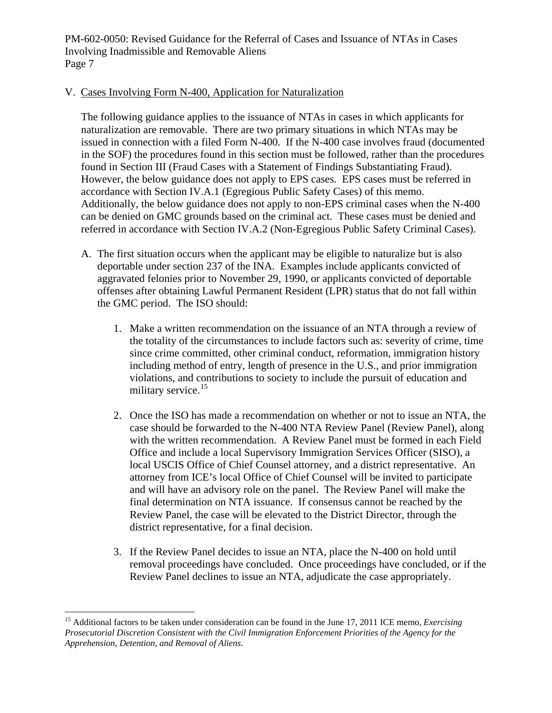# V. Cases Involving Form N-400, Application for Naturalization

The following guidance applies to the issuance of NTAs in cases in which applicants for naturalization are removable. There are two primary situations in which NTAs may be issued in connection with a filed Form N-400. If the N-400 case involves fraud (documented in the SOF) the procedures found in this section must be followed, rather than the procedures found in Section III (Fraud Cases with a Statement of Findings Substantiating Fraud). However, the below guidance does not apply to EPS cases. EPS cases must be referred in accordance with Section IV.A.1 (Egregious Public Safety Cases) of this memo. Additionally, the below guidance does not apply to non-EPS criminal cases when the N-400 can be denied on GMC grounds based on the criminal act. These cases must be denied and referred in accordance with Section IV.A.2 (Non-Egregious Public Safety Criminal Cases).

- A. The first situation occurs when the applicant may be eligible to naturalize but is also deportable under section 237 of the INA. Examples include applicants convicted of aggravated felonies prior to November 29, 1990, or applicants convicted of deportable offenses after obtaining Lawful Permanent Resident (LPR) status that do not fall within the GMC period. The ISO should:
	- 1. Make a written recommendation on the issuance of an NTA through a review of the totality of the circumstances to include factors such as: severity of crime, time since crime committed, other criminal conduct, reformation, immigration history including method of entry, length of presence in the U.S., and prior immigration violations, and contributions to society to include the pursuit of education and military service.<sup>[15](#page-6-0)</sup>
	- 2. Once the ISO has made a recommendation on whether or not to issue an NTA, the case should be forwarded to the N-400 NTA Review Panel (Review Panel), along with the written recommendation. A Review Panel must be formed in each Field Office and include a local Supervisory Immigration Services Officer (SISO), a local USCIS Office of Chief Counsel attorney, and a district representative. An attorney from ICE's local Office of Chief Counsel will be invited to participate and will have an advisory role on the panel. The Review Panel will make the final determination on NTA issuance. If consensus cannot be reached by the Review Panel, the case will be elevated to the District Director, through the district representative, for a final decision.
	- 3. If the Review Panel decides to issue an NTA, place the N-400 on hold until removal proceedings have concluded. Once proceedings have concluded, or if the Review Panel declines to issue an NTA, adjudicate the case appropriately.

 $\overline{a}$ 

<span id="page-6-0"></span><sup>&</sup>lt;sup>15</sup> Additional factors to be taken under consideration can be found in the June 17, 2011 ICE memo, *Exercising Prosecutorial Discretion Consistent with the Civil Immigration Enforcement Priorities of the Agency for the Apprehension, Detention, and Removal of Aliens.*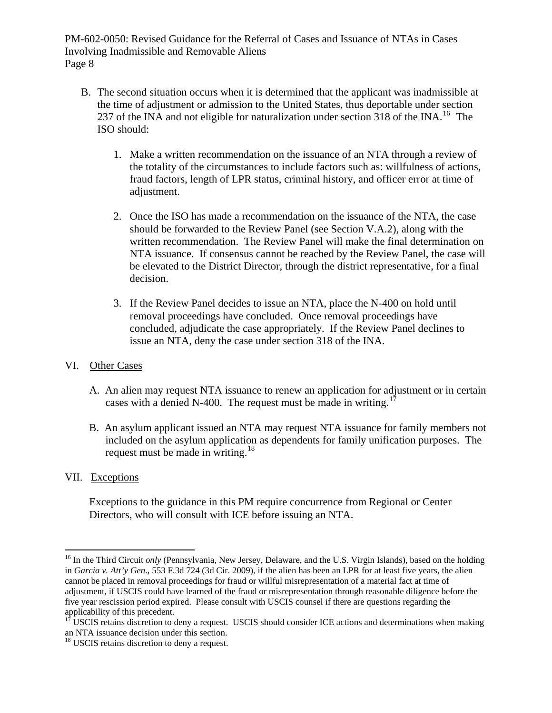- B. The second situation occurs when it is determined that the applicant was inadmissible at the time of adjustment or admission to the United States, thus deportable under section 237 of the INA and not eligible for naturalization under section  $318$  of the INA.<sup>[16](#page-7-0)</sup> The ISO should:
	- 1. Make a written recommendation on the issuance of an NTA through a review of the totality of the circumstances to include factors such as: willfulness of actions, fraud factors, length of LPR status, criminal history, and officer error at time of adjustment.
	- 2. Once the ISO has made a recommendation on the issuance of the NTA, the case should be forwarded to the Review Panel (see Section V.A.2), along with the written recommendation. The Review Panel will make the final determination on NTA issuance. If consensus cannot be reached by the Review Panel, the case will be elevated to the District Director, through the district representative, for a final decision.
	- 3. If the Review Panel decides to issue an NTA, place the N-400 on hold until removal proceedings have concluded. Once removal proceedings have concluded, adjudicate the case appropriately. If the Review Panel declines to issue an NTA, deny the case under section 318 of the INA.
- VI. Other Cases
	- A. An alien may request NTA issuance to renew an application for adjustment or in certain cases with a denied N-400. The request must be made in writing.<sup>[17](#page-7-1)</sup>
	- B. An asylum applicant issued an NTA may request NTA issuance for family members not included on the asylum application as dependents for family unification purposes. The request must be made in writing. $18$
- VII. Exceptions

1

Exceptions to the guidance in this PM require concurrence from Regional or Center Directors, who will consult with ICE before issuing an NTA.

<span id="page-7-0"></span><sup>16</sup> In the Third Circuit *only* (Pennsylvania, New Jersey, Delaware, and the U.S. Virgin Islands)*,* based on the holding in *Garcia v. Att'y Gen*., 553 F.3d 724 (3d Cir. 2009), if the alien has been an LPR for at least five years, the alien cannot be placed in removal proceedings for fraud or willful misrepresentation of a material fact at time of adjustment, if USCIS could have learned of the fraud or misrepresentation through reasonable diligence before the five year rescission period expired. Please consult with USCIS counsel if there are questions regarding the applicability of this precedent.

<span id="page-7-1"></span><sup>&</sup>lt;sup>17</sup> USCIS retains discretion to deny a request. USCIS should consider ICE actions and determinations when making an NTA issuance decision under this section. 18 USCIS retains discretion to deny a request.

<span id="page-7-2"></span>